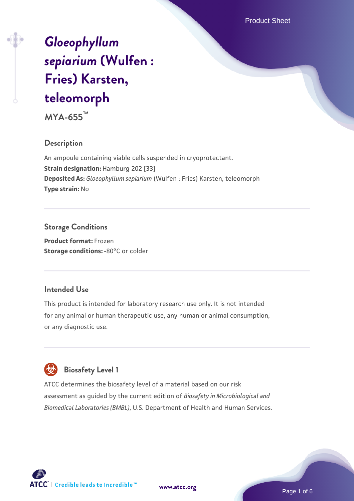Product Sheet

# *[Gloeophyllum](https://www.atcc.org/products/mya-655) [sepiarium](https://www.atcc.org/products/mya-655)* **[\(Wulfen :](https://www.atcc.org/products/mya-655) [Fries\) Karsten,](https://www.atcc.org/products/mya-655) [teleomorph](https://www.atcc.org/products/mya-655)**

**MYA-655™**

#### **Description**

An ampoule containing viable cells suspended in cryoprotectant. **Strain designation: Hamburg 202 [33] Deposited As:** *Gloeophyllum sepiarium* (Wulfen : Fries) Karsten, teleomorph **Type strain:** No

## **Storage Conditions**

**Product format:** Frozen **Storage conditions: -80°C or colder** 

#### **Intended Use**

This product is intended for laboratory research use only. It is not intended for any animal or human therapeutic use, any human or animal consumption, or any diagnostic use.

# **Biosafety Level 1**

ATCC determines the biosafety level of a material based on our risk assessment as guided by the current edition of *Biosafety in Microbiological and Biomedical Laboratories (BMBL)*, U.S. Department of Health and Human Services.

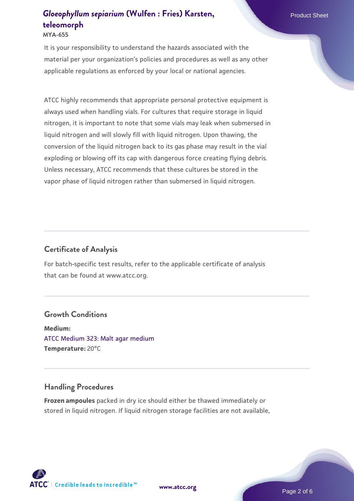#### **MYA-655**

It is your responsibility to understand the hazards associated with the material per your organization's policies and procedures as well as any other applicable regulations as enforced by your local or national agencies.

ATCC highly recommends that appropriate personal protective equipment is always used when handling vials. For cultures that require storage in liquid nitrogen, it is important to note that some vials may leak when submersed in liquid nitrogen and will slowly fill with liquid nitrogen. Upon thawing, the conversion of the liquid nitrogen back to its gas phase may result in the vial exploding or blowing off its cap with dangerous force creating flying debris. Unless necessary, ATCC recommends that these cultures be stored in the vapor phase of liquid nitrogen rather than submersed in liquid nitrogen.

#### **Certificate of Analysis**

For batch-specific test results, refer to the applicable certificate of analysis that can be found at www.atcc.org.

#### **Growth Conditions**

**Medium:**  [ATCC Medium 323: Malt agar medium](https://www.atcc.org/-/media/product-assets/documents/microbial-media-formulations/3/2/3/atcc-medium-323.pdf?rev=58d6457ee20149d7a1c844947569ef92) **Temperature:** 20°C

#### **Handling Procedures**

**Frozen ampoules** packed in dry ice should either be thawed immediately or stored in liquid nitrogen. If liquid nitrogen storage facilities are not available,

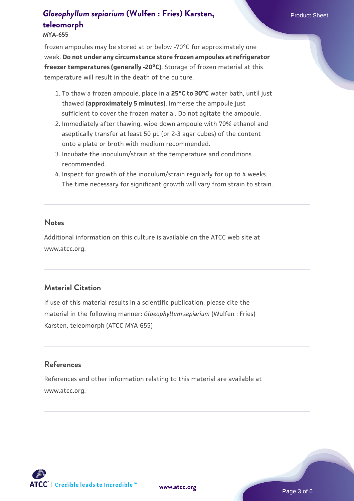**MYA-655**

frozen ampoules may be stored at or below -70°C for approximately one week. **Do not under any circumstance store frozen ampoules at refrigerator freezer temperatures (generally -20°C)**. Storage of frozen material at this temperature will result in the death of the culture.

- 1. To thaw a frozen ampoule, place in a **25°C to 30°C** water bath, until just thawed **(approximately 5 minutes)**. Immerse the ampoule just sufficient to cover the frozen material. Do not agitate the ampoule.
- 2. Immediately after thawing, wipe down ampoule with 70% ethanol and aseptically transfer at least 50 µL (or 2-3 agar cubes) of the content onto a plate or broth with medium recommended.
- 3. Incubate the inoculum/strain at the temperature and conditions recommended.
- 4. Inspect for growth of the inoculum/strain regularly for up to 4 weeks. The time necessary for significant growth will vary from strain to strain.

#### **Notes**

Additional information on this culture is available on the ATCC web site at www.atcc.org.

### **Material Citation**

If use of this material results in a scientific publication, please cite the material in the following manner: *Gloeophyllum sepiarium* (Wulfen : Fries) Karsten, teleomorph (ATCC MYA-655)

## **References**

References and other information relating to this material are available at www.atcc.org.

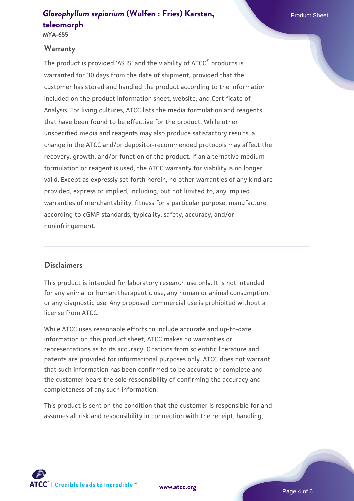**MYA-655**

#### **Warranty**

The product is provided 'AS IS' and the viability of ATCC<sup>®</sup> products is warranted for 30 days from the date of shipment, provided that the customer has stored and handled the product according to the information included on the product information sheet, website, and Certificate of Analysis. For living cultures, ATCC lists the media formulation and reagents that have been found to be effective for the product. While other unspecified media and reagents may also produce satisfactory results, a change in the ATCC and/or depositor-recommended protocols may affect the recovery, growth, and/or function of the product. If an alternative medium formulation or reagent is used, the ATCC warranty for viability is no longer valid. Except as expressly set forth herein, no other warranties of any kind are provided, express or implied, including, but not limited to, any implied warranties of merchantability, fitness for a particular purpose, manufacture according to cGMP standards, typicality, safety, accuracy, and/or noninfringement.

### **Disclaimers**

This product is intended for laboratory research use only. It is not intended for any animal or human therapeutic use, any human or animal consumption, or any diagnostic use. Any proposed commercial use is prohibited without a license from ATCC.

While ATCC uses reasonable efforts to include accurate and up-to-date information on this product sheet, ATCC makes no warranties or representations as to its accuracy. Citations from scientific literature and patents are provided for informational purposes only. ATCC does not warrant that such information has been confirmed to be accurate or complete and the customer bears the sole responsibility of confirming the accuracy and completeness of any such information.

This product is sent on the condition that the customer is responsible for and assumes all risk and responsibility in connection with the receipt, handling,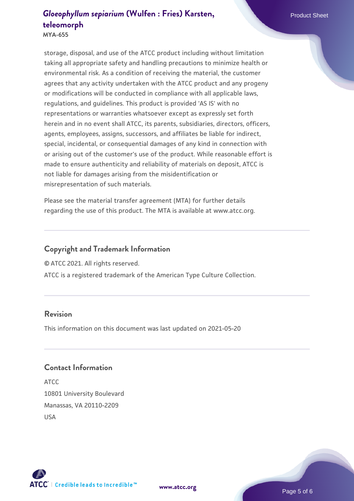**MYA-655**

storage, disposal, and use of the ATCC product including without limitation taking all appropriate safety and handling precautions to minimize health or environmental risk. As a condition of receiving the material, the customer agrees that any activity undertaken with the ATCC product and any progeny or modifications will be conducted in compliance with all applicable laws, regulations, and guidelines. This product is provided 'AS IS' with no representations or warranties whatsoever except as expressly set forth herein and in no event shall ATCC, its parents, subsidiaries, directors, officers, agents, employees, assigns, successors, and affiliates be liable for indirect, special, incidental, or consequential damages of any kind in connection with or arising out of the customer's use of the product. While reasonable effort is made to ensure authenticity and reliability of materials on deposit, ATCC is not liable for damages arising from the misidentification or misrepresentation of such materials.

Please see the material transfer agreement (MTA) for further details regarding the use of this product. The MTA is available at www.atcc.org.

## **Copyright and Trademark Information**

© ATCC 2021. All rights reserved.

ATCC is a registered trademark of the American Type Culture Collection.

#### **Revision**

This information on this document was last updated on 2021-05-20

### **Contact Information**

ATCC 10801 University Boulevard Manassas, VA 20110-2209 USA